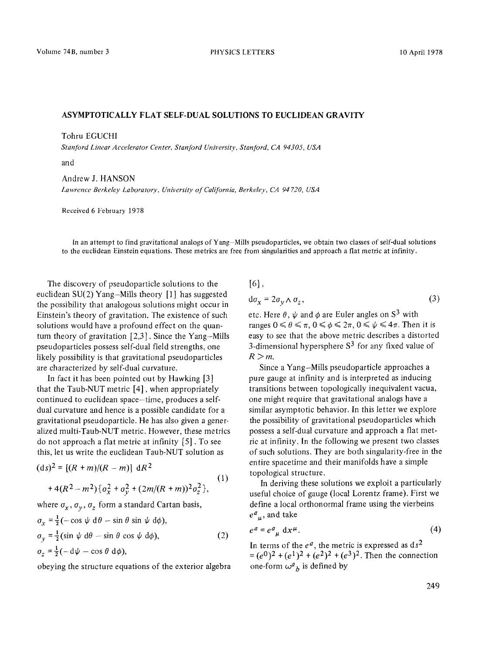## **ASYMPTOTICALLY FLAT** SELF-DUAL SOLUTIONS TO EUCLIDEAN GRAVITY

Tohru EGUCHI

*Stanford Linear Accelerator Center, Stanford University, Stanford, CA 94305, USA* 

*and* 

Andrew J. HANSON *Lawrence Berkeley Laboratory, University of California, Berkeley, CA 94 720, USA* 

Received 6 February 1978

In an attempt to find gravitational analogs of Yang-Mills pseudoparticles, we obtain two classes of self-dual solutions to the eucfidean Einstein equations. These metrics are free from singularities and approach a flat metric at infinity.

The discovery of pseudoparticle solutions to the euclidean  $SU(2)$  Yang-Mills theory [1] has suggested the possibility that analogous solutions might occur in Einstein's theory of gravitation. The existence of such solutions would have a profound effect on the quantum theory of gravitation  $[2,3]$ . Since the Yang-Mills pseudoparticles possess self-dual field strengths, one likely possibility is that gravitational pseudoparticles are characterized by self-dual curvature.

In fact it has been pointed out by Hawking [3] that the Taub-NUT metric [4], when appropriately continued to euclidean space-time, produces a selfdual curvature and hence is a possible candidate for a gravitational pseudoparticle. He has also given a generalized multi-Taub-NUT metric. However, these metrics do not approach a fiat metric at infinity [5]. To see this, let us write the euclidean Taub-NUT solution as

$$
(ds)^{2} = [(R+m)/(R-m)] dR^{2}
$$
  
+4(R<sup>2</sup>-m<sup>2</sup>){ $\sigma_x^2 + \sigma_y^2 + (2m/(R+m))^2 \sigma_z^2$ }, (1)

where  $\sigma_x$ ,  $\sigma_y$ ,  $\sigma_z$  form a standard Cartan basis,

$$
\sigma_x = \frac{1}{2}(-\cos\psi \, d\theta - \sin\theta \sin\psi \, d\phi),
$$
  
\n
$$
\sigma_y = \frac{1}{2}(\sin\psi \, d\theta - \sin\theta \cos\psi \, d\phi),
$$
  
\n
$$
\sigma_z = \frac{1}{2}(-d\psi - \cos\theta \, d\phi),
$$
\n(2)

obeying the structure equations of the exterior algebra

[6],

$$
d\sigma_x = 2\sigma_v \wedge \sigma_z, \qquad (3)
$$

etc. Here  $\theta$ ,  $\psi$  and  $\phi$  are Euler angles on S<sup>3</sup> with ranges  $0 \le \theta \le \pi$ ,  $0 \le \phi \le 2\pi$ ,  $0 \le \psi \le 4\pi$ . Then it is easy to see that the above metric describes a distorted 3-dimensional hypersphere  $S<sup>3</sup>$  for any fixed value of  $R>m$ .

Since a Yang-Mills pseudoparticle approaches a pure gauge at infinity and is interpreted as inducing transitions between topologically inequivalent vacua, one might require that gravitational analogs have a similar asymptotic behavior. In this letter we explore the possibility of gravitational pseudoparticles which possess a self-dual curvature and approach a fiat metric at infinity. In the following we present two classes of such solutions. They are both singularity-free in the entire spacetime and their manifolds have a simple topological structure.

In deriving these solutions we exploit a particularly useful choice of gauge (local Lorentz frame). First we define a local orthonormal frame using the vierbeins  $e^{a}_{\mu}$ , and take

$$
e^a = e^a_{\mu} \, dx^{\mu}.
$$
 (4)

In terms of the  $e^a$ , the metric is expressed as  $ds^2$  $=(e^0)^2 + (e^1)^2 + (e^2)^2 + (e^3)^2$ . Then the connection one-form  $\omega^a{}_b$  is defined by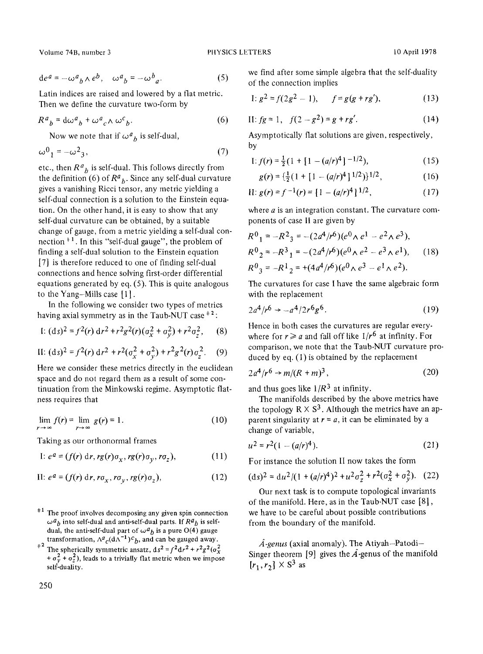Volume 74B, number 3 **PHYSICS LETTERS** 10 April 1978

$$
de^{a} = -\omega^{a}{}_{b} \wedge e^{b}, \quad \omega^{a}{}_{b} = -\omega^{b}{}_{a}.
$$
 (5)

Latin indices are raised and lowered by a fiat metric. Then we define the curvature two-form by

$$
R^a{}_b = d\omega^a{}_b + \omega^a{}_c \wedge \omega^c{}_b. \tag{6}
$$

Now we note that if  $\omega^a{}_b$  is self-dual,

$$
\omega^0{}_1 = -\omega^2{}_3,\tag{7}
$$

etc., then  $R^a{}_b$  is self-dual. This follows directly from the definition  $(6)$  of  $R^a{}_b$ . Since any self-dual curvature gives a vanishing Ricci tensor, any metric yielding a self-dual connection is a solution to the Einstein equation. On the other hand, it is easy to show that any self-dual curvature can be obtained, by a suitable change of gauge, from a metric yielding a self-dual connection  $+1$ . In this "self-dual gauge", the problem of finding a self-dual solution to the Einstein equation [7] is therefore reduced to one of finding self-dual connections and hence solving first-order differential equations generated by eq. (5). This is quite analogous to the Yang-Mills case [1].

In the following we consider two types of metrics having axial symmetry as in the Taub-NUT case  $\pm 2$ :

I: 
$$
(ds)^2 = f^2(r) dr^2 + r^2 g^2(r) (a_x^2 + a_y^2) + r^2 a_z^2
$$
, (8)

II: 
$$
(ds)^2 = f^2(r) dr^2 + r^2(\sigma_x^2 + \sigma_y^2) + r^2 g^2(r) \sigma_z^2
$$
. (9)

Here we consider these metrics directly in the euclidean space and do not regard them as a result of some continuation from the Minkowski regime. Asymptotic flatness requires that

$$
\lim_{r \to \infty} f(r) = \lim_{r \to \infty} g(r) = 1. \tag{10}
$$

Taking as our orthonormal frames

I: 
$$
e^a = (f(r) dr, rg(r)\sigma_x, rg(r)\sigma_y, ro_z),
$$
 (11)

II: 
$$
e^a = (f(r) dr, r\sigma_x, r\sigma_y, rg(r)\sigma_z),
$$
 (12)

- $*1$  The proof involves decomposing any given spin connection  $\omega^a{}_b$  into self-dual and anti-self-dual parts. If  $R^a{}_b$  is selfdual, the anti-self-dual part of  $\omega^a{}_b$  is a pure O(4) gauge transformation,  $\Lambda^a{}_c(\mathrm{d}\Lambda^{-1})^c{}_b$ , and can be gauged away.
- <sup>+2</sup> The spherically symmetric ansatz,  $ds^2 = f^2 dr^2 + r^2 g^2 (\sigma_x^2)$  $+\sigma_{\nu}^2 + \sigma_{z}^2$ ), leads to a trivially flat metric when we impose self-duality.

we find after some simple algebra that the self-duality of the connection implies

I: 
$$
g^2 = f(2g^2 - 1)
$$
,  $f = g(g + rg')$ , (13)

II: 
$$
fg = 1
$$
,  $f(2 - g^2) = g + rg'$ . (14)

Asymptotically flat solutions are given, respectively, by

I: 
$$
f(r) = \frac{1}{2} (1 + [1 - (a/r)^4]^{-1/2}),
$$
 (15)

$$
g(r) = \left\{ \frac{1}{2} (1 + [1 - (a/r)^4]^{1/2}) \right\}^{1/2},\tag{16}
$$

$$
H: g(r) = f^{-1}(r) = [1 - (a/r)^4]^{1/2}, \qquad (17)
$$

where  $a$  is an integration constant. The curvature components of case II are given by

$$
R^{0}{}_{1} = -R^{2}{}_{3} = -(2a^{4}/r^{6})(e^{0} \wedge e^{1} - e^{2} \wedge e^{3}),
$$
  
\n
$$
R^{0}{}_{2} = -R^{3}{}_{1} = -(2a^{4}/r^{6})(e^{0} \wedge e^{2} - e^{3} \wedge e^{1}),
$$
  
\n
$$
R^{0}{}_{3} = -R^{1}{}_{2} = +(4a^{4}/r^{6})(e^{0} \wedge e^{3} - e^{1} \wedge e^{2}).
$$
  
\n(18)

The curvatures for case I have the same algebraic form with the replacement

$$
2a^4/r^6 \to -a^4/2r^6g^6. \tag{19}
$$

Hence in both cases the curvatures are regular everywhere for  $r \ge a$  and fall off like  $1/r^6$  at infinity. For comparison, we note that the Taub-NUT curvature produced by eq. (1) is obtained by the replacement

$$
2a^4/r^6 \to m/(R+m)^3,\tag{20}
$$

and thus goes like  $1/R<sup>3</sup>$  at infinity.

The manifolds described by the above metrics have the topology  $R \times S^3$ . Although the metrics have an apparent singularity at  $r = a$ , it can be eliminated by a change of variable,

$$
u^2 = r^2(1 - (a/r)^4). \tag{21}
$$

For instance the solution II now takes the form

$$
(\mathrm{d}s)^2 = \mathrm{d}u^2/(1 + (a/r)^4)^2 + u^2 \sigma_z^2 + r^2 (\sigma_x^2 + \sigma_y^2). \tag{22}
$$

Our next task is to compute topological invariants of the manifold. Here, as in the Taub-NUT case [8], we have to be careful about possible contributions from the boundary of the manifold.

*A-genus* (axial anomaly). The Atiyah-Patodi-Singer theorem [9] gives the  $\hat{A}$ -genus of the manifold  $[r_1, r_2] \times S^3$  as